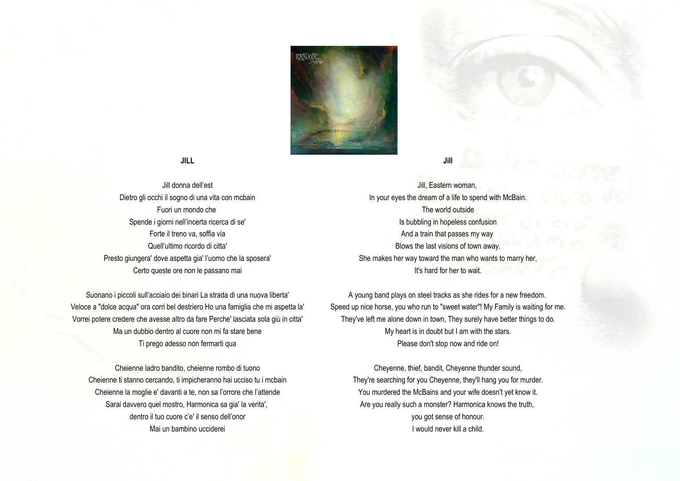

## **JILL**

Jill donna dell'est Dietro gli occhi il sogno di una vita con mcbain Fuori un mondo che Spende i giorni nell'incerta ricerca di se' Forte il treno va, soffia via Quell'ultimo ricordo di citta' Presto giungera' dove aspetta gia' l'uomo che la sposera' Certo queste ore non le passano mai

Suonano i piccoli sull'acciaio dei binari La strada di una nuova liberta' Veloce a "dolce acqua" ora corri bel destriero Ho una famiglia che mi aspetta la' Vorrei potere credere che avesse altro da fare Perche' lasciata sola giù in citta' Ma un dubbio dentro al cuore non mi fa stare bene Ti prego adesso non fermarti qua

Cheienne ladro bandito, cheienne rombo di tuono Cheienne ti stanno cercando, ti impicheranno hai ucciso tu i mcbain Cheienne la moglie e' davanti a te, non sa l'orrore che l'attende Sarai davvero quel mostro, Harmonica sa gia' la verita', dentro il tuo cuore c'e' il senso dell'onor Mai un bambino ucciderei

Jill, Eastern woman, In your eyes the dream of a life to spend with McBain. The world outside Is bubbling in hopeless confusion And a train that passes my way Blows the last visions of town away. She makes her way toward the man who wants to marry her It's hard for her to wait.

**Jill** 

A young band plays on steel tracks as she rides for a new freedom. Speed up nice horse, you who run to "sweet water"! My Family is waiting for me. They've left me alone down in town, They surely have better things to do. My heart is in doubt but I am with the stars. Please don't stop now and ride on!

Cheyenne, thief, bandit, Cheyenne thunder sound, They're searching for you Cheyenne, they'll hang you for murder. You murdered the McBains and your wife doesn't yet know it. Are you really such a monster? Harmonica knows the truth, you got sense of honour. I would never kill a child.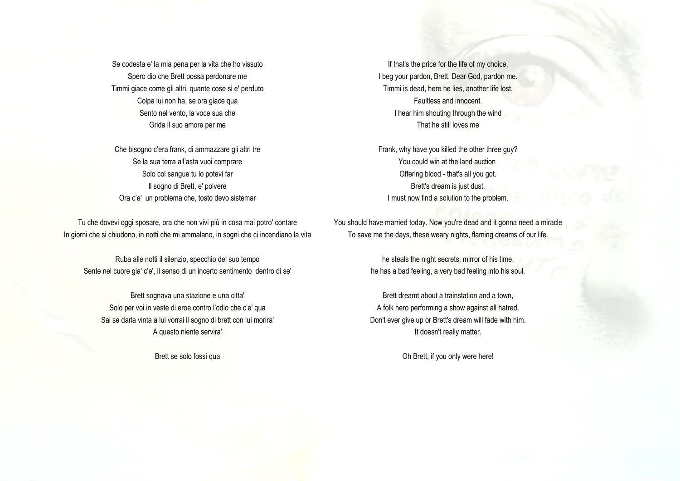Se codesta e' la mia pena per la vita che ho vissuto Spero dio che Brett possa perdonare me Timmi giace come gli altri, quante cose si e' perduto Colpa lui non ha, se ora giace qua Sento nel vento, la voce sua che Grida il suo amore per me

Che bisogno c'era frank, di ammazzare gli altri tre Se la sua terra all'asta vuoi comprare Solo col sangue tu lo potevi far Il sogno di Brett, e' polvere Ora c'e' un problema che, tosto devo sistemar

Tu che dovevi oggi sposare, ora che non vivi più in cosa mai potro' contare In giorni che si chiudono, in notti che mi ammalano, in sogni che ci incendiano la vita

Ruba alle notti il silenzio, specchio del suo tempo Sente nel cuore gia' c'e', il senso di un incerto sentimento dentro di se'

Brett sognava una stazione e una citta' Solo per voi in veste di eroe contro l'odio che c'e' qua Sai se darla vinta a lui vorrai il sogno di brett con lui morira' A questo niente servira'

Brett se solo fossi qua

If that's the price for the life of my choice, I beg your pardon, Brett. Dear God, pardon me. Timmi is dead, here he lies, another life lost, Faultless and innocent. I hear him shouting through the wind That he still loves me

Frank, why have you killed the other three guy? You could win at the land auction Offering blood - that's all you got. Brett's dream is just dust. I must now find a solution to the problem.

You should have married today. Now you're dead and it gonna need a miracle To save me the days, these weary nights, flaming dreams of our life.

> he steals the night secrets, mirror of his time. he has a bad feeling, a very bad feeling into his soul.

Brett dreamt about a trainstation and a town, A folk hero performing a show against all hatred. Don't ever give up or Brett's dream will fade with him. It doesn't really matter.

Oh Brett, if you only were here!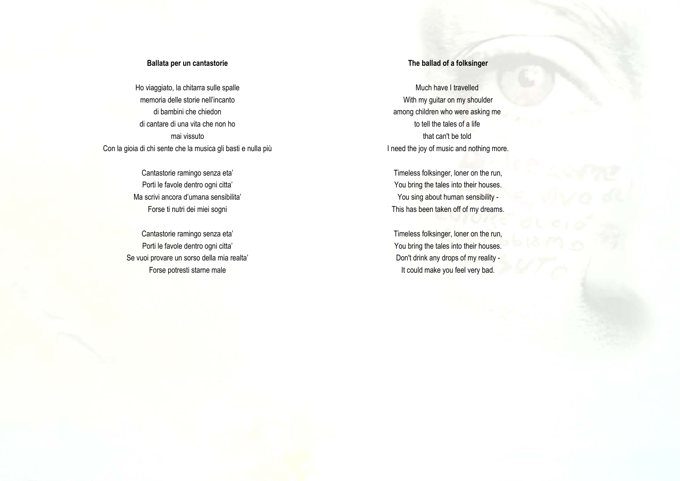#### **Ballata per un cantastorie**

Ho viaggiato, la chitarra sulle spalle memoria delle storie nell'incanto di bambini che chiedon di cantare di una vita che non ho mai vissuto Con la gioia di chi sente che la musica gli basti e nulla più

> Cantastorie ramingo senza eta' Porti le favole dentro ogni citta' Ma scrivi ancora d'umana sensibilita' Forse ti nutri dei miei sogni

Cantastorie ramingo senza eta' Porti le favole dentro ogni citta' Se vuoi provare un sorso della mia realta' Forse potresti starne male

## **The ballad of a folksinger**

Much have I travelled With my guitar on my shoulder among children who were asking me to tell the tales of a life that can't be told I need the joy of music and nothing more.

Timeless folksinger, loner on the run, You bring the tales into their houses. You sing about human sensibility -This has been taken off of my dreams.

Timeless folksinger, loner on the run, You bring the tales into their houses. Don't drink any drops of my reality - It could make you feel very bad.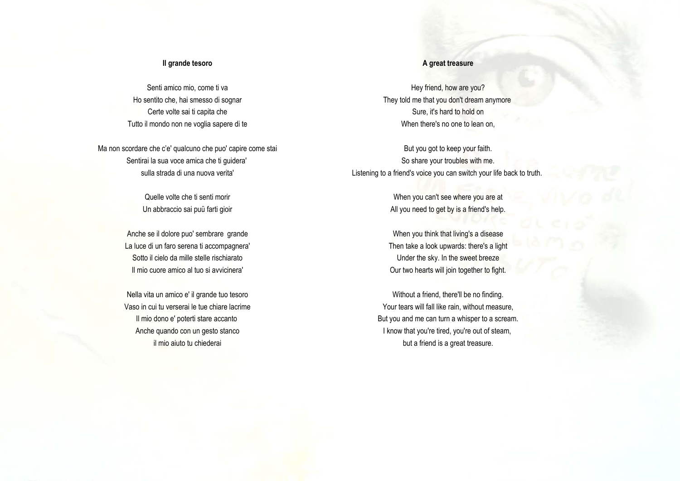#### **Il grande tesoro**

Senti amico mio, come ti va Ho sentito che, hai smesso di sognar Certe volte sai ti capita che Tutto il mondo non ne voglia sapere di te

Ma non scordare che c'e' qualcuno che puo' capire come stai Sentirai la sua voce amica che ti guidera' sulla strada di una nuova verita'

> Quelle volte che ti senti morir Un abbraccio sai puü farti gioir

Anche se il dolore puo' sembrare grande La luce di un faro serena ti accompagnera' Sotto il cielo da mille stelle rischiarato Il mio cuore amico al tuo si avvicinera'

Nella vita un amico e' il grande tuo tesoro Vaso in cui tu verserai le tue chiare lacrime Il mio dono e' poterti stare accanto Anche quando con un gesto stanco il mio aiuto tu chiederai

### **A great treasure**

Hey friend, how are you? They told me that you don't dream anymore Sure, it's hard to hold on When there's no one to lean on.

But you got to keep your faith. So share your troubles with me. Listening to a friend's voice you can switch your life back to truth.

> When you can't see where you are at All you need to get by is a friend's help.

> When you think that living's a disease Then take a look upwards: there's a light Under the sky. In the sweet breeze Our two hearts will join together to fight.

Without a friend, there'll be no finding. Your tears will fall like rain, without measure, But you and me can turn a whisper to a scream. I know that you're tired, you're out of steam, but a friend is a great treasure.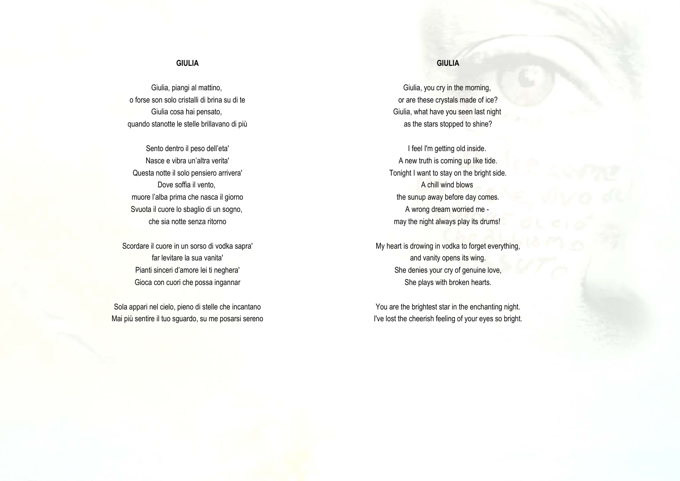## **GIULIA**

Giulia, piangi al mattino, o forse son solo cristalli di brina su di te Giulia cosa hai pensato, quando stanotte le stelle brillavano di più

Sento dentro il peso dell'eta' Nasce e vibra un'altra verita' Questa notte il solo pensiero arrivera' Dove soffia il vento, muore l'alba prima che nasca il giorno Svuota il cuore lo sbaglio di un sogno, che sia notte senza ritorno

Scordare il cuore in un sorso di vodka sapra' far levitare la sua vanita' Pianti sinceri d'amore lei ti neghera' Gioca con cuori che possa ingannar

Sola appari nel cielo, pieno di stelle che incantano Mai più sentire il tuo sguardo, su me posarsi sereno

# **GIULIA**

Giulia, you cry in the morning, or are these crystals made of ice? Giulia, what have you seen last night as the stars stopped to shine?

I feel I'm getting old inside. A new truth is coming up like tide. Tonight I want to stay on the bright side. A chill wind blows the sunup away before day comes. A wrong dream worried me may the night always play its drums!

My heart is drowing in vodka to forget everything, and vanity opens its wing. She denies your cry of genuine love, She plays with broken hearts.

You are the brightest star in the enchanting night. I've lost the cheerish feeling of your eyes so bright.